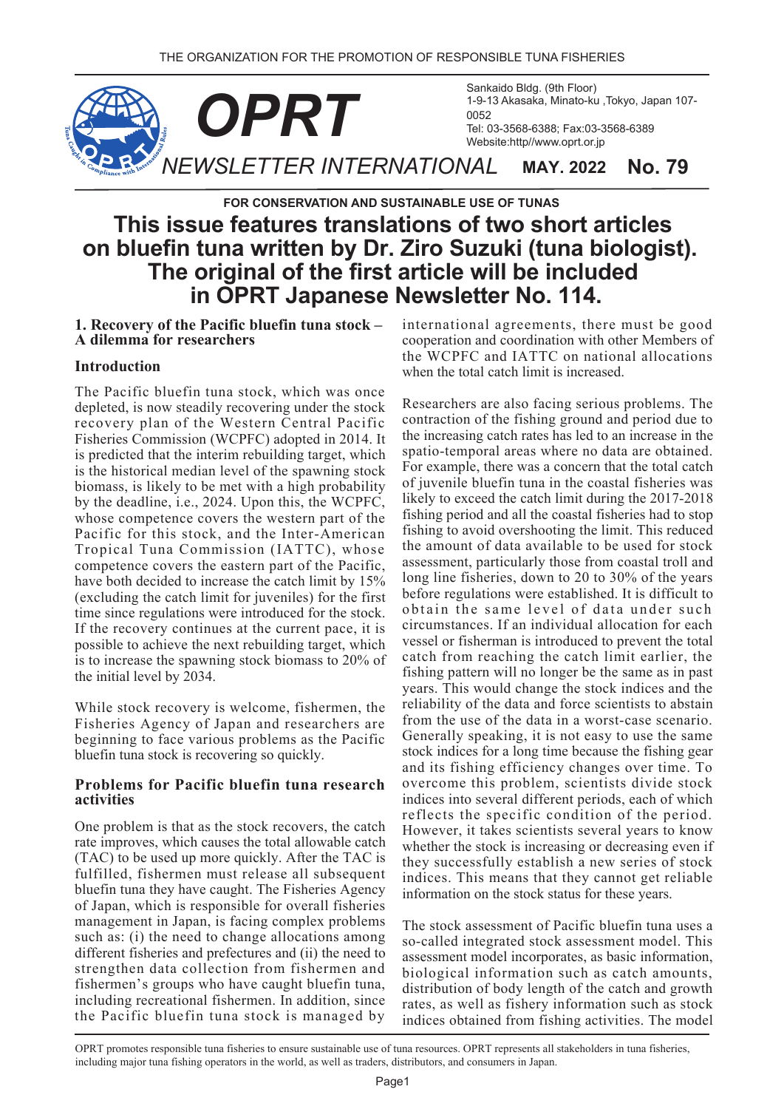

# **FOR CONSERVATION AND SUSTAINABLE USE OF TUNAS This issue features translations of two short articles on bluefin tuna written by Dr. Ziro Suzuki (tuna biologist). The original of the first article will be included in OPRT Japanese Newsletter No. 114.**

**1. Recovery of the Pacific bluefin tuna stock – A dilemma for researchers**

## **Introduction**

The Pacific bluefin tuna stock, which was once depleted, is now steadily recovering under the stock recovery plan of the Western Central Pacific Fisheries Commission (WCPFC) adopted in 2014. It is predicted that the interim rebuilding target, which is the historical median level of the spawning stock biomass, is likely to be met with a high probability by the deadline, i.e., 2024. Upon this, the WCPFC, whose competence covers the western part of the Pacific for this stock, and the Inter-American Tropical Tuna Commission (IATTC), whose competence covers the eastern part of the Pacific, have both decided to increase the catch limit by 15% (excluding the catch limit for juveniles) for the first time since regulations were introduced for the stock. If the recovery continues at the current pace, it is possible to achieve the next rebuilding target, which is to increase the spawning stock biomass to 20% of the initial level by 2034.

While stock recovery is welcome, fishermen, the Fisheries Agency of Japan and researchers are beginning to face various problems as the Pacific bluefin tuna stock is recovering so quickly.

#### **Problems for Pacific bluefin tuna research activities**

One problem is that as the stock recovers, the catch rate improves, which causes the total allowable catch (TAC) to be used up more quickly. After the TAC is fulfilled, fishermen must release all subsequent bluefin tuna they have caught. The Fisheries Agency of Japan, which is responsible for overall fisheries management in Japan, is facing complex problems such as: (i) the need to change allocations among different fisheries and prefectures and (ii) the need to strengthen data collection from fishermen and fishermen's groups who have caught bluefin tuna, including recreational fishermen. In addition, since the Pacific bluefin tuna stock is managed by international agreements, there must be good cooperation and coordination with other Members of the WCPFC and IATTC on national allocations when the total catch limit is increased.

Researchers are also facing serious problems. The contraction of the fishing ground and period due to the increasing catch rates has led to an increase in the spatio-temporal areas where no data are obtained. For example, there was a concern that the total catch of juvenile bluefin tuna in the coastal fisheries was likely to exceed the catch limit during the 2017-2018 fishing period and all the coastal fisheries had to stop fishing to avoid overshooting the limit. This reduced the amount of data available to be used for stock assessment, particularly those from coastal troll and long line fisheries, down to 20 to 30% of the years before regulations were established. It is difficult to obtain the same level of data under such circumstances. If an individual allocation for each vessel or fisherman is introduced to prevent the total catch from reaching the catch limit earlier, the fishing pattern will no longer be the same as in past years. This would change the stock indices and the reliability of the data and force scientists to abstain from the use of the data in a worst-case scenario. Generally speaking, it is not easy to use the same stock indices for a long time because the fishing gear and its fishing efficiency changes over time. To overcome this problem, scientists divide stock indices into several different periods, each of which reflects the specific condition of the period. However, it takes scientists several years to know whether the stock is increasing or decreasing even if they successfully establish a new series of stock indices. This means that they cannot get reliable information on the stock status for these years.

The stock assessment of Pacific bluefin tuna uses a so-called integrated stock assessment model. This assessment model incorporates, as basic information, biological information such as catch amounts, distribution of body length of the catch and growth rates, as well as fishery information such as stock indices obtained from fishing activities. The model

OPRT promotes responsible tuna fisheries to ensure sustainable use of tuna resources. OPRT represents all stakeholders in tuna fisheries, including major tuna fishing operators in the world, as well as traders, distributors, and consumers in Japan.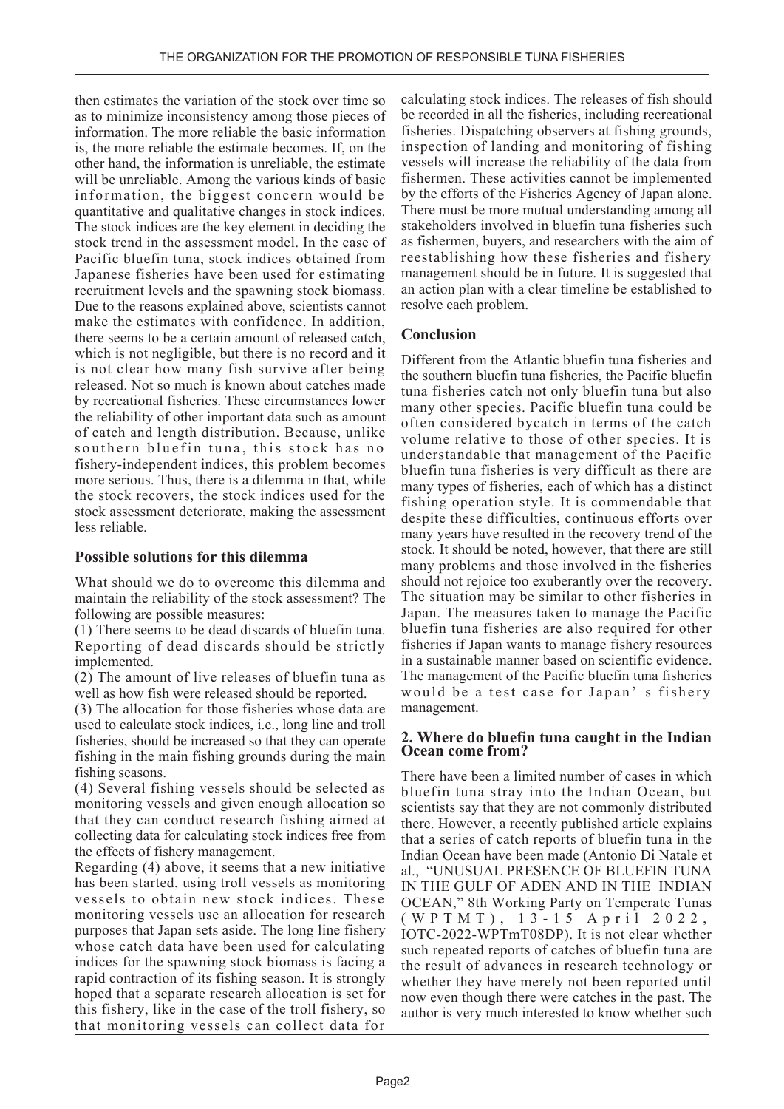then estimates the variation of the stock over time so as to minimize inconsistency among those pieces of information. The more reliable the basic information is, the more reliable the estimate becomes. If, on the other hand, the information is unreliable, the estimate will be unreliable. Among the various kinds of basic information, the biggest concern would be quantitative and qualitative changes in stock indices. The stock indices are the key element in deciding the stock trend in the assessment model. In the case of Pacific bluefin tuna, stock indices obtained from Japanese fisheries have been used for estimating recruitment levels and the spawning stock biomass. Due to the reasons explained above, scientists cannot make the estimates with confidence. In addition, there seems to be a certain amount of released catch, which is not negligible, but there is no record and it is not clear how many fish survive after being released. Not so much is known about catches made by recreational fisheries. These circumstances lower the reliability of other important data such as amount of catch and length distribution. Because, unlike southern bluefin tuna, this stock has no fishery-independent indices, this problem becomes more serious. Thus, there is a dilemma in that, while the stock recovers, the stock indices used for the stock assessment deteriorate, making the assessment less reliable.

#### **Possible solutions for this dilemma**

What should we do to overcome this dilemma and maintain the reliability of the stock assessment? The following are possible measures:

(1) There seems to be dead discards of bluefin tuna. Reporting of dead discards should be strictly implemented.

(2) The amount of live releases of bluefin tuna as well as how fish were released should be reported.

(3) The allocation for those fisheries whose data are used to calculate stock indices, i.e., long line and troll fisheries, should be increased so that they can operate fishing in the main fishing grounds during the main fishing seasons.

(4) Several fishing vessels should be selected as monitoring vessels and given enough allocation so that they can conduct research fishing aimed at collecting data for calculating stock indices free from the effects of fishery management.

Regarding (4) above, it seems that a new initiative has been started, using troll vessels as monitoring vessels to obtain new stock indices. These monitoring vessels use an allocation for research purposes that Japan sets aside. The long line fishery whose catch data have been used for calculating indices for the spawning stock biomass is facing a rapid contraction of its fishing season. It is strongly hoped that a separate research allocation is set for this fishery, like in the case of the troll fishery, so that monitoring vessels can collect data for

calculating stock indices. The releases of fish should be recorded in all the fisheries, including recreational fisheries. Dispatching observers at fishing grounds, inspection of landing and monitoring of fishing vessels will increase the reliability of the data from fishermen. These activities cannot be implemented by the efforts of the Fisheries Agency of Japan alone. There must be more mutual understanding among all stakeholders involved in bluefin tuna fisheries such as fishermen, buyers, and researchers with the aim of reestablishing how these fisheries and fishery management should be in future. It is suggested that an action plan with a clear timeline be established to resolve each problem.

### **Conclusion**

Different from the Atlantic bluefin tuna fisheries and the southern bluefin tuna fisheries, the Pacific bluefin tuna fisheries catch not only bluefin tuna but also many other species. Pacific bluefin tuna could be often considered bycatch in terms of the catch volume relative to those of other species. It is understandable that management of the Pacific bluefin tuna fisheries is very difficult as there are many types of fisheries, each of which has a distinct fishing operation style. It is commendable that despite these difficulties, continuous efforts over many years have resulted in the recovery trend of the stock. It should be noted, however, that there are still many problems and those involved in the fisheries should not rejoice too exuberantly over the recovery. The situation may be similar to other fisheries in Japan. The measures taken to manage the Pacific bluefin tuna fisheries are also required for other fisheries if Japan wants to manage fishery resources in a sustainable manner based on scientific evidence. The management of the Pacific bluefin tuna fisheries would be a test case for Japan' s fishery management.

#### **2. Where do bluefin tuna caught in the Indian Ocean come from?**

There have been a limited number of cases in which bluefin tuna stray into the Indian Ocean, but scientists say that they are not commonly distributed there. However, a recently published article explains that a series of catch reports of bluefin tuna in the Indian Ocean have been made (Antonio Di Natale et al., "UNUSUAL PRESENCE OF BLUEFIN TUNA IN THE GULF OF ADEN AND IN THE INDIAN OCEAN," 8th Working Party on Temperate Tunas (WPTMT), 13-15 April 2022, IOTC-2022-WPTmT08DP). It is not clear whether such repeated reports of catches of bluefin tuna are the result of advances in research technology or whether they have merely not been reported until now even though there were catches in the past. The author is very much interested to know whether such